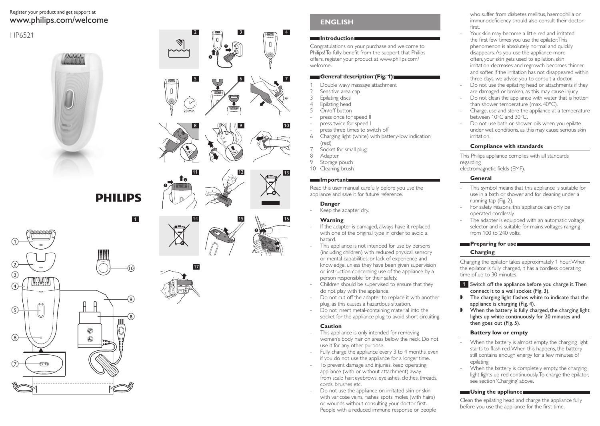# Register your product and get support at www.philips.com/welcome

# HP6521



**PHILIPS** 









# **English**

### **Introduction**

4

7

Congratulations on your purchase and welcome to Philips! To fully benefit from the support that Philips offers, register your product at www.philips.com/ welcome.

### **General description (Fig. 1)**

- 1 Double wavy massage attachment<br>2 Sensitive area cap
- 2 Sensitive area cap<br>3 Foilating discs
- 3 Epilating discs<br>4 Epilating head
- 
- 5 On/off button
- press once for speed II
- press twice for speed I
- press three times to switch off<br>6 Charging light (white) with batt 6 Charging light (white) with battery-low indication (red)
- 
- 7 Socket for small plug<br>8 Adapter
- 8 Adapter<br>9 Storage Storage pouch
- 10 Cleaning brush

# **Important**

Read this user manual carefully before you use the appliance and save it for future reference.

## **Danger**

Keep the adapter dry.

# **Warning**

- If the adapter is damaged, always have it replaced with one of the original type in order to avoid a hazard.
- This appliance is not intended for use by persons (including children) with reduced physical, sensory or mental capabilities, or lack of experience and knowledge, unless they have been given supervision or instruction concerning use of the appliance by a person responsible for their safety.
- Children should be supervised to ensure that they do not play with the appliance.
- Do not cut off the adapter to replace it with another plug, as this causes a hazardous situation.
- Do not insert metal-containing material into the socket for the appliance plug to avoid short circuiting.

# **Caution**

- This appliance is only intended for removing women's body hair on areas below the neck. Do not use it for any other purpose.
- Fully charge the appliance every 3 to 4 months, even if you do not use the appliance for a longer time.
- To prevent damage and injuries, keep operating appliance (with or without attachment) away from scalp hair, eyebrows, eyelashes, clothes, threads, cords, brushes etc.
- Do not use the appliance on irritated skin or skin with varicose veins, rashes, spots, moles (with hairs) or wounds without consulting your doctor first. People with a reduced immune response or people

who suffer from diabetes mellitus, haemophilia or immunodeficiency should also consult their doctor first.

- Your skin may become a little red and irritated the first few times you use the epilator. This phenomenon is absolutely normal and quickly disappears. As you use the appliance more often, your skin gets used to epilation, skin irritation decreases and regrowth becomes thinner and softer. If the irritation has not disappeared within three days, we advise you to consult a doctor.
- Do not use the epilating head or attachments if they are damaged or broken, as this may cause injury.
- Do not clean the appliance with water that is hotter than shower temperature (max. 40°C).
- Charge, use and store the appliance at a temperature between 10°C and 30°C.
- Do not use bath or shower oils when you epilate under wet conditions, as this may cause serious skin irritation.

# **Compliance with standards**

This Philips appliance complies with all standards regarding electromagnetic fields (EMF).

# **General**

- This symbol means that this appliance is suitable for use in a bath or shower and for cleaning under a running tap (Fig. 2).
- For safety reasons, this appliance can only be operated cordlessly.
- The adapter is equipped with an automatic voltage selector and is suitable for mains voltages ranging from 100 to 240 volts.

# **Preparing for use**

# **Charging**

Charging the epilator takes approximately 1 hour. When the epilator is fully charged, it has a cordless operating time of up to 30 minutes.

- **1** Switch off the appliance before you charge it. Then connect it to a wall socket (Fig. 3).
- $\blacksquare$  The charging light flashes white to indicate that the appliance is charging (Fig. 4).
- $\blacktriangleright$  When the battery is fully charged, the charging light lights up white continuously for 20 minutes and then goes out (Fig. 5).

# **Battery low or empty**

- When the battery is almost empty, the charging light starts to flash red.When this happens, the battery still contains enough energy for a few minutes of epilating.
- When the battery is completely empty, the charging light lights up red continuously. To charge the epilator, see section 'Charging' above.

# **Using the appliance**

Clean the epilating head and charge the appliance fully before you use the appliance for the first time.



17

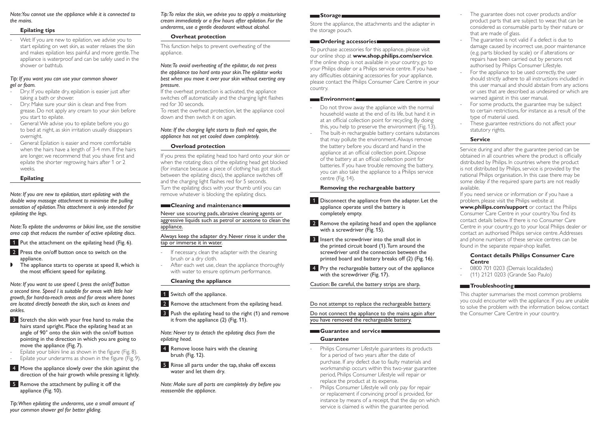*Note: You cannot use the appliance while it is connected to the mains.*

#### **Epilating tips**

Wet: If you are new to epilation, we advise you to start epilating on wet skin, as water relaxes the skin and makes epilation less painful and more gentle. The appliance is waterproof and can be safely used in the shower or bathtub.

#### *Tip: If you want you can use your common shower gel or foam.*

- Dry: If you epilate dry, epilation is easier just after taking a bath or shower.
- Dry: Make sure your skin is clean and free from grease. Do not apply any cream to your skin before you start to epilate.
- General: We advise you to epilate before you go to bed at night, as skin irritation usually disappears overnight.
- General: Epilation is easier and more comfortable when the hairs have a length of 3-4 mm. If the hairs are longer, we recommend that you shave first and epilate the shorter regrowing hairs after 1 or 2 weeks.

### **Epilating**

*Note: If you are new to epilation, start epilating with the double wavy massage attachment to minimise the pulling sensation of epilation. This attachment is only intended for epilating the legs.*

*Note: To epilate the underarms or bikini line, use the sensitive area cap that reduces the number of active epilating discs.* 

1 Put the attachment on the epilating head (Fig. 6).

2 Press the on/off button once to switch on the appliance.

The appliance starts to operate at speed II, which is the most efficient speed for epilating.

*Note: If you want to use speed I, press the on/off button a second time. Speed I is suitable for areas with little hair growth, for hard-to-reach areas and for areas where bones are located directly beneath the skin, such as knees and ankles.*

- **3** Stretch the skin with your free hand to make the hairs stand upright. Place the epilating head at an angle of 90° onto the skin with the on/off button pointing in the direction in which you are going to move the appliance (Fig. 7).
- Epilate your bikini line as shown in the figure (Fig. 8). - Epilate your underarms as shown in the figure (Fig. 9).
- 4 Move the appliance slowly over the skin against the
- direction of the hair growth while pressing it lightly.
- 5 Remove the attachment by pulling it off the appliance (Fig. 10).

*Tip: When epilating the underarms, use a small amount of your common shower gel for better gliding.* 

*Tip: To relax the skin, we advise you to apply a moisturising cream immediately or a few hours after epilation. For the underarms, use a gentle deodorant without alcohol.* 

### **Overheat protection**

This function helps to prevent overheating of the appliance.

#### *Note: To avoid overheating of the epilator, do not press the appliance too hard onto your skin. The epilator works best when you move it over your skin without exerting any pressure.*

If the overheat protection is activated, the appliance switches off automatically and the charging light flashes red for 30 seconds.

To reset the overheat protection, let the appliance cool down and then switch it on again.

### *Note: If the charging light starts to flash red again, the appliance has not yet cooled down completely.*

### **Overload protection**

If you press the epilating head too hard onto your skin or when the rotating discs of the epilating head get blocked (for instance because a piece of clothing has got stuck between the epilating discs), the appliance switches off and the charging light flashes red for 5 seconds. Turn the epilating discs with your thumb until you can remove whatever is blocking the epilating discs.

#### **Cleaning and maintenance**

Never use scouring pads, abrasive cleaning agents or aggressive liquids such as petrol or acetone to clean the appliance.

### Always keep the adapter dry. Never rinse it under the tap or immerse it in water.

- If necessary, clean the adapter with the cleaning brush or a dry cloth.
- After each wet use, clean the appliance thoroughly with water to ensure optimum performance.

#### **Cleaning the appliance**

- 1 Switch off the appliance.
- 2 Remove the attachment from the epilating head.
- **3** Push the epilating head to the right (1) and remove it from the appliance (2) (Fig. 11).

*Note: Never try to detach the epilating discs from the epilating head.*

- 4 Remove loose hairs with the cleaning brush (Fig. 12).
- 5 Rinse all parts under the tap, shake off excess water and let them dry.

*Note: Make sure all parts are completely dry before you reassemble the appliance.* 

#### **Storage**

Store the appliance, the attachments and the adapter in the storage pouch.

#### **Condering accessories**

To purchase accessories for this appliance, please visit our online shop at **www.shop.philips.com/service**. If the online shop is not available in your country, go to your Philips dealer or a Philips service centre. If you have any difficulties obtaining accessories for your appliance, please contact the Philips Consumer Care Centre in your country.

#### **Environment**

- Do not throw away the appliance with the normal household waste at the end of its life, but hand it in at an official collection point for recycling. By doing this, you help to preserve the environment (Fig. 13).
- The built-in rechargeable battery contains substances that may pollute the environment. Always remove the battery before you discard and hand in the appliance at an official collection point. Dispose of the battery at an official collection point for batteries. If you have trouble removing the battery, you can also take the appliance to a Philips service centre (Fig. 14).

### **Removing the rechargeable battery**

1 Disconnect the appliance from the adapter. Let the appliance operate until the battery is completely empty.

2 Remove the epilating head and open the appliance with a screwdriver (Fig. 15).

- **3** Insert the screwdriver into the small slot in the printed circuit board (1). Turn around the screwdriver until the connection between the printed board and battery breaks off (2) (Fig. 16).
- **4** Pry the rechargeable battery out of the appliance with the screwdriver (Fig. 17).

Caution: Be careful, the battery strips are sharp.

### Do not attempt to replace the rechargeable battery.

Do not connect the appliance to the mains again after you have removed the rechargeable battery.

#### **Guarantee and service**

#### **Guarantee**

- Philips Consumer Lifestyle guarantees its products for a period of two years after the date of purchase. If any defect due to faulty materials and workmanship occurs within this two-year guarantee period, Philips Consumer Lifestyle will repair or replace the product at its expense.
- Philips Consumer Lifestyle will only pay for repair or replacement if convincing proof is provided, for instance by means of a receipt, that the day on which service is claimed is within the guarantee period.
- The guarantee does not cover products and/or product parts that are subject to wear, that can be considered as consumable parts by their nature or that are made of glass.
- The guarantee is not valid if a defect is due to damage caused by incorrect use, poor maintenance (e.g. parts blocked by scale) or if alterations or repairs have been carried out by persons not authorised by Philips Consumer Lifestyle.
- For the appliance to be used correctly, the user should strictly adhere to all instructions included in this user manual and should abstain from any actions or uses that are described as undesired or which are warned against in this user manual.
- For some products, the guarantee may be subject to certain restrictions, for instance as a result of the type of material used.
- These guarantee restrictions do not affect your statutory rights.

### **Service**

Service during and after the guarantee period can be obtained in all countries where the product is officially distributed by Philips. In countries where the product is not distributed by Philips, service is provided by the national Philips organisation. In this case there may be some delay if the required spare parts are not readily available.

If you need service or information or if you have a problem, please visit the Philips website at

**www.philips.com/support** or contact the Philips Consumer Care Centre in your country. You find its contact details below. If there is no Consumer Care Centre in your country, go to your local Philips dealer or contact an authorised Philips service centre. Addresses and phone numbers of these service centres can be found in the separate repair-shop leaflet.

### **Contact details Philips Consumer Care Centre**

- 0800 701 0203 (Demais localidades)
- (11) 2121 0203 (Grande Sao Paulo)

### **Troubleshooting**

This chapter summarises the most common problems you could encounter with the appliance. If you are unable to solve the problem with the information below, contact the Consumer Care Centre in your country.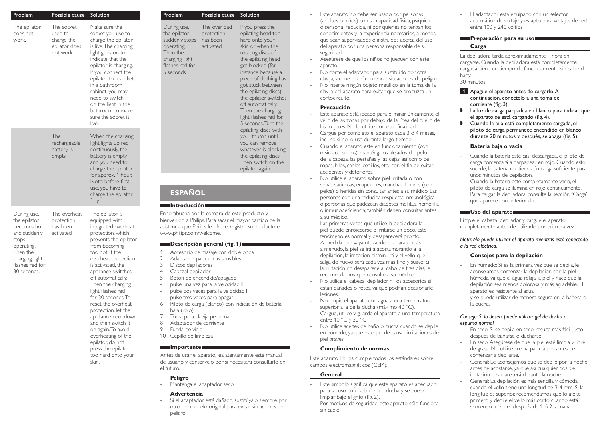| Problem                                                                                                                                           | Possible cause                                                    | Solution                                                                                                                                                                                                                                                                                                                                                                                                                                                                                                         |
|---------------------------------------------------------------------------------------------------------------------------------------------------|-------------------------------------------------------------------|------------------------------------------------------------------------------------------------------------------------------------------------------------------------------------------------------------------------------------------------------------------------------------------------------------------------------------------------------------------------------------------------------------------------------------------------------------------------------------------------------------------|
| The epilator<br>does not<br>work.                                                                                                                 | The socket<br>used to<br>charge the<br>epilator does<br>not work. | Make sure the<br>socket you use to<br>charge the epilator<br>is live. The charging<br>light goes on to<br>indicate that the<br>epilator is charging.<br>If you connect the<br>epilator to a socket<br>in a bathroom<br>cabinet, you may<br>need to switch<br>on the light in the<br>bathroom to make<br>sure the socket is<br>live.                                                                                                                                                                              |
|                                                                                                                                                   | The<br>rechargeable<br>battery is<br>empty.                       | When the charging<br>light lights up red<br>continuously, the<br>battery is empty<br>and you need to<br>charge the epilator<br>for approx. 1 hour.<br>Note: before first<br>use, you have to<br>charge the epilator<br>fully.                                                                                                                                                                                                                                                                                    |
| During use,<br>the epilator<br>becomes hot<br>and suddenly<br>stops<br>operating.<br>Then the<br>charging light<br>flashes red for<br>30 seconds. | The overheat<br>protection<br>has been<br>activated.              | The epilator is<br>equipped with<br>integrated overheat<br>protection, which<br>prevents the epilator<br>from becoming<br>too hot. If the<br>overheat protection<br>is activated, the<br>appliance switches<br>off automatically.<br>Then the charging<br>light flashes red<br>for 30 seconds. To<br>reset the overheat<br>protection, let the<br>appliance cool down<br>and then switch it<br>on again. To avoid<br>overheating of the<br>epilator, do not<br>press the epilator<br>too hard onto your<br>skin. |

| Problem                                                                                                                            | Possible cause                           |  |  |  |
|------------------------------------------------------------------------------------------------------------------------------------|------------------------------------------|--|--|--|
| During use,<br>the epilator<br>suddenly stops has been<br>operating.<br>Then the<br>charging light<br>flashes red for<br>5 seconds | The overload<br>protection<br>activated. |  |  |  |
|                                                                                                                                    |                                          |  |  |  |
| <b>ESPAÑOL</b>                                                                                                                     |                                          |  |  |  |
| <b>Introducción</b>                                                                                                                |                                          |  |  |  |

Solution

If you press the epilating head too hard onto your skin or when the rotating discs of the epilating head get blocked (for instance because a piece of clothing has got stuck between the epilating discs), the epilator switches off automatically. Then the charging light flashes red for 5 seconds. Turn the epilating discs with your thumb until you can remove whatever is blocking the epilating discs. Then switch on the epilator again.

## Enhorabuena por la compra de este producto y bienvenido a Philips. Para sacar el mayor partido de la asistencia que Philips le ofrece, registre su producto en

### **Descripción general (fig. 1)**

- Accesorio de masaje con doble onda
- 2 Adaptador para zonas sensibles<br>3 Discos depiladores
- Discos depiladores
- 4 Cabezal depilador<br>5 Botón de encendia
- 5 Botón de encendido/apagado

www.philips.com/welcome.

- pulse una vez para la velocidad II
- pulse dos veces para la velocidad l
- pulse tres veces para apagar
- 6 Piloto de carga (blanco) con indicación de batería baja (rojo)
- Toma para clavija pequeña
- 8 Adaptador de corriente<br>9 Eunda de viaie
- Funda de viaje
- 10 Cepillo de limpieza

# **Importante**

Antes de usar el aparato, lea atentamente este manual de usuario y consérvelo por si necesitara consultarlo en el futuro.

#### **Peligro**

Mantenga el adaptador seco.

#### **Advertencia**

- Si el adaptador está dañado, sustitúyalo siempre por otro del modelo original para evitar situaciones de peligro.

- Este aparato no debe ser usado por personas (adultos o niños) con su capacidad física, psíquica o sensorial reducida, ni por quienes no tengan los conocimientos y la experiencia necesarios, a menos que sean supervisados o instruidos acerca del uso del aparato por una persona responsable de su seguridad.
- Asegúrese de que los niños no jueguen con este aparato.
- No corte el adaptador para sustituirlo por otra clavija, ya que podría provocar situaciones de peligro.
- No inserte ningún objeto metálico en la toma de la clavija del aparato para evitar que se produzca un cortocircuito.

#### **Precaución**

- Este aparato está ideado para eliminar únicamente el vello de las zonas por debajo de la línea del cuello de las mujeres. No lo utilice con otra finalidad.
- Cargue por completo el aparato cada 3 ó 4 meses, incluso si no lo usa durante largo tiempo.
- Cuando el aparato esté en funcionamiento (con o sin accesorios), manténgalos alejados del pelo de la cabeza, las pestañas y las cejas, así como de ropas, hilos, cables, cepillos, etc., con el fin de evitar accidentes y deterioros.
- No utilice el aparato sobre piel irritada o con venas varicosas, erupciones, manchas, lunares (con pelos) o heridas sin consultar antes a su médico. Las personas con una reducida respuesta inmunológica o personas que padezcan diabetes mellitus, hemofilia o inmunodeficiencia, también deben consultar antes a su médico.
- Las primeras veces que utilice la depiladora la piel puede enrojecerse e irritarse un poco. Este fenómeno es normal y desaparecerá pronto. A medida que vaya utilizando el aparato más a menudo, la piel se irá a acostumbrando a la depilación, la irritación disminuirá y el vello que salga de nuevo será cada vez más fino y suave. Si la irritación no desaparece al cabo de tres días, le recomendamos que consulte a su médico.
- No utilice el cabezal depilador ni los accesorios si están dañados o rotos, ya que podrían ocasionarle lesiones.
- No limpie el aparato con agua a una temperatura superior a la de la ducha (máximo 40 °C).
- Cargue, utilice y guarde el aparato a una temperatura entre 10 °C y 30 °C.
- No utilice aceites de baño o ducha cuando se depile en húmedo, ya que esto puede causar irritaciones de piel graves.

#### **Cumplimiento de normas**

Este aparato Philips cumple todos los estándares sobre campos electromagnéticos (CEM).

#### **General**

- Este símbolo significa que este aparato es adecuado para su uso en una bañera o ducha y se puede limpiar bajo el grifo (fig. 2).
- Por motivos de seguridad, este aparato sólo funciona sin cable.

- El adaptador está equipado con un selector automático de voltaje y es apto para voltajes de red entre 100 y 240 voltios.

### **Preparación para su uso Carga**

La depiladora tarda aproximadamente 1 hora en cargarse. Cuando la depiladora está completamente cargada, tiene un tiempo de funcionamiento sin cable de hasta 30 minutos.

1 Apague el aparato antes de cargarlo. A continuación, conéctelo a una toma de corriente (fig. 3).

- , La luz de carga parpadea en blanco para indicar que el aparato se está cargando (fig. 4).
- , Cuando la pila está completamente cargada, el piloto de carga permanece encendido en blanco durante 20 minutos y, después, se apaga (fig. 5).

### **Batería baja o vacía**

- Cuando la batería esté casi descargada, el piloto de carga comenzará a parpadear en rojo. Cuando esto sucede, la batería contiene aún carga suficiente para unos minutos de depilación.
- Cuando la batería esté completamente vacía, el piloto de carga se ilumina en rojo continuamente. Para cargar la depiladora, consulte la sección "Carga" que aparece con anterioridad.

#### **Uso del aparato**

Limpie el cabezal depilador y cargue el aparato completamente antes de utilizarlo por primera vez.

*Nota: No puede utilizar el aparato mientras está conectado a la red eléctrica.*

#### **Consejos para la depilación**

En húmedo: Si es la primera vez que se depila, le aconsejamos comenzar la depilación con la piel húmeda, ya que el agua relaja la piel y hace que la depilación sea menos dolorosa y más agradable. El aparato es resistente al agua y se puede utilizar de manera segura en la bañera o la ducha.

### *Consejo: Si lo desea, puede utilizar gel de ducha o espuma normal.*

- En seco: Si se depila en seco, resulta más fácil justo después de bañarse o ducharse.
- En seco: Asegúrese de que la piel esté limpia y libre de grasa. No utilice crema para la piel antes de comenzar a depilarse.
- General: Le aconsejamos que se depile por la noche antes de acostarse, ya que así cualquier posible irritación desaparecerá durante la noche.
- General: La depilación es más sencilla y cómoda cuando el vello tiene una longitud de 3-4 mm. Si la longitud es superior, recomendamos que lo afeite primero y depile el vello más corto cuando está volviendo a crecer después de 1 ó 2 semanas.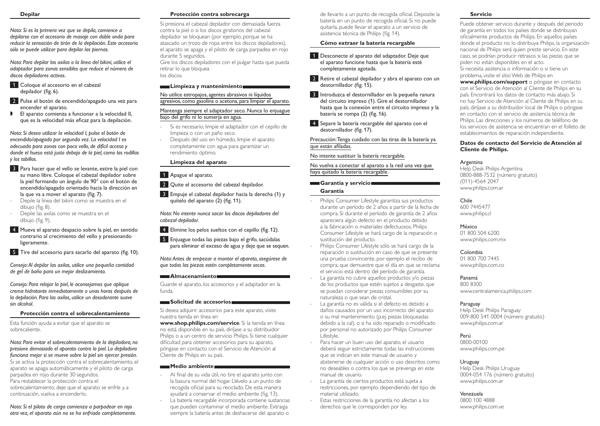#### **Depilar**

*Nota: Si es la primera vez que se depila, comience a depilarse con el accesorio de masaje con doble onda para reducir la sensación de tirón de la depilación. Este accesorio sólo se puede utilizar para depilar las piernas.*

*Nota: Para depilar las axilas o la línea del bikini, utilice el adaptador para zonas sensibles que reduce el número de discos depiladores activos.* 

- 1 Coloque el accesorio en el cabezal depilador (fig. 6).
- 2 Pulse el botón de encendido/apagado una vez para encender el aparato.
- , El aparato comienza a funcionar a la velocidad II, que es la velocidad más eficaz para la depilación.

*Nota: Si desea utilizar la velocidad I, pulse el botón de encendido/apagado por segunda vez. La velocidad I es adecuada para zonas con poco vello, de difícil acceso y donde el hueso está justo debajo de la piel, como las rodillas y los tobillos.*

- 3 Para hacer que el vello se levante, estire la piel con su mano libre. Coloque el cabezal depilador sobre la piel formando un ángulo de 90° con el botón de encendido/apagado orientado hacia la dirección en la que va a mover el aparato (fig. 7).
- Depile la línea del bikini como se muestra en el dibujo (fig. 8).
- Depile las axilas como se muestra en el dibujo (fig. 9).
- 4 Mueva el aparato despacio sobre la piel, en sentido contrario al crecimiento del vello y presionando ligeramente.
- 5 Tire del accesorio para sacarlo del aparato (fig. 10).

*Consejo: Al depilar las axilas, utilice una pequeña cantidad de gel de baño para un mejor deslizamiento.* 

*Consejo: Para relajar la piel, le aconsejamos que aplique crema hidratante inmediatamente o unas horas después de la depilación. Para las axilas, utilice un desodorante suave sin alcohol.* 

### **Protección contra el sobrecalentamiento**

Esta función ayuda a evitar que el aparato se sobrecaliente.

*Nota: Para evitar el sobrecalentamiento de la depiladora, no presione demasiado el aparato contra la piel. La depiladora funciona mejor si se mueve sobre la piel sin ejercer presión.* Si se activa la protección contra el sobrecalentamiento, el aparato se apaga automáticamente y el piloto de carga parpadea en rojo durante 30 segundos. Para restablecer la protección contra el sobrecalentamiento, deje que el aparato se enfríe y, a continuación, vuelva a encenderlo.

*Nota: Si el piloto de carga comienza a parpadear en rojo otra vez, el aparato aún no se ha enfriado completamente.* 

### **Protección contra sobrecarga**

Si presiona el cabezal depilador con demasiada fuerza contra la piel o si los discos giratorios del cabezal depilador se bloquean (por ejemplo, porque se ha atascado un trozo de ropa entre los discos depiladores), el aparato se apaga y el piloto de carga parpadea en rojo durante 5 segundos.

Gire los discos depiladores con el pulgar hasta que pueda retirar lo que bloquea los discos.

### **Limpieza y mantenimiento**

No utilice estropajos, agentes abrasivos ni líquidos agresivos, como gasolina o acetona, para limpiar el aparato.

### Mantenga siempre el adaptador seco. Nunca lo enjuague bajo del grifo ni lo sumerja en agua.

- Si es necesario, limpie el adaptador con el cepillo de limpieza o con un paño seco.
- Después del uso en húmedo, limpie el aparato completamente con agua para garantizar un rendimiento óptimo.

# **Limpieza del aparato**

### 1 Apague el aparato.

- 2 Quite el accesorio del cabezal depilador.
- 3 Empuje el cabezal depilador hacia la derecha (1) y quítelo del aparato (2) (fig. 11).

*Nota: No intente nunca sacar los discos depiladores del cabezal depilador.*

- 4 Elimine los pelos sueltos con el cepillo (fig. 12).
- 5 Enjuague todas las piezas bajo el grifo, sacúdalas para eliminar el exceso de agua y deje que se sequen.

*Nota: Antes de empezar a montar el aparato, asegúrese de que todas las piezas estén completamente secas.* 

# **Almacenamiento**

Guarde el aparato, los accesorios y el adaptador en la funda.

### **Solicitud de accesorios**

Si desea adquirir accesorios para este aparato, visite nuestra tienda en línea en

**www.shop.philips.com/service**. Si la tienda en línea no está disponible en su país, diríjase a su distribuidor Philips o a un centro de servicio Philips. Si tiene cualquier dificultad para obtener accesorios para su aparato, póngase en contacto con el Servicio de Atención al Cliente de Philips en su país.

### **Medio ambiente**

- Al final de su vida útil, no tire el aparato junto con la basura normal del hogar. Llévelo a un punto de recogida oficial para su reciclado. De esta manera ayudará a conservar el medio ambiente (fig. 13).
- La batería recargable incorporada contiene sustancias que pueden contaminar el medio ambiente. Extraiga siempre la batería antes de deshacerse del aparato o

de llevarlo a un punto de recogida oficial. Deposite la batería en un punto de recogida oficial. Si no puede quitarla, puede llevar el aparato a un servicio de asistencia técnica de Philips (fig. 14).

### **Cómo extraer la batería recargable**

1 Desconecte el aparato del adaptador. Deje que el aparato funcione hasta que la batería esté completamente agotada.

- 2 Retire el cabezal depilador y abra el aparato con un destornillador (fig. 15).
- 3 Introduzca el destornillador en la pequeña ranura del circuito impreso (1). Gire el destornillador hasta que la conexión entre el circuito impreso y la batería se rompa (2) (fig. 16).
- 4 Separe la batería recargable del aparato con el destornillador (fig. 17).

Precaución: Tenga cuidado con las tiras de la batería ya que están afiladas.

No intente sustituir la batería recargable.

No vuelva a conectar el aparato a la red una vez que haya quitado la batería recargable.

### **Garantía y servicio**

### **Garantía**

- Philips Consumer Lifestyle garantiza sus productos durante un período de 2 años a partir de la fecha de compra. Si durante el período de garantía de 2 años apareciera algún defecto en el producto debido a la fabricación o materiales defectuosos, Philips Consumer Lifestyle se hará cargo de la reparación o sustitución del producto.
- Philips Consumer Lifestyle sólo se hará cargo de la reparación o sustitución en caso de que se presente una prueba convincente, por ejemplo el recibo de compra, que demuestre que el día en que se reclama el servicio está dentro del período de garantía.
- La garantía no cubre aquellos productos y/o piezas de los productos que estén sujetos a desgaste, que se puedan considerar piezas consumibles por su naturaleza o que sean de cristal.
- La garantía no es válida si el defecto es debido a daños causados por un uso incorrecto del aparato o su mal mantenimiento (p.ej. piezas bloqueadas debido a la cal), o si ha sido reparado o modificado por personal no autorizado por Philips Consumer Lifestyle.
- Para hacer un buen uso del aparato, el usuario deberá seguir estrictamente todas las instrucciones que se indican en este manual de usuario y abstenerse de cualquier acción o uso descritos como no deseables o contra los que se prevenga en este manual de usuario.
- La garantía de ciertos productos está sujeta a restricciones, por ejemplo, dependiendo del tipo de material utilizado.
- Estas restricciones de la garantía no afectan a los derechos que le corresponden por ley.

### **Servicio**

Puede obtener servicio durante y después del periodo de garantía en todos los países donde se distribuyan oficialmente productos de Philips. En aquellos países donde el producto no lo distribuya Philips, la organización nacional de Philips será quien preste servicio. En este caso, se podrían producir retrasos si las piezas que se piden no están disponibles en el acto. Si necesita asistencia o información o si tiene un problema, visite el sitio Web de Philips en

**www.philips.com/support** o póngase en contacto con el Servicio de Atención al Cliente de Philips en su país. Encontrará los datos de contacto más abajo. Si no hay Servicio de Atención al Cliente de Philips en su país, diríjase a su distribuidor local de Philips o póngase en contacto con el servicio de asistencia técnica de Philips. Las direcciones y los números de teléfono de los servicios de asistencia se encuentran en el folleto de establecimientos de reparación independiente.

#### **Datos de contacto del Servicio de Atención al Cliente de Philips.**

### Argentina

Help Desk Philips Argentina 0800-888-7532 (número gratuito) (011)-4564 2047 www.philips.com.ar

### Chile

600 7445477 www.philips.cl

### México

01 800 504 6200 www.philips.com.mx

### Colombia

01 800 700 7445 www.philips.com.co

### Panamá

800 8300 www.centralamerica.philips.com

### Paraguay

Help Desk Philips Paraguay 009-800 541 0004 (número gratuito) www.philips.com.ar

### Perú

0800-00100 www.philips.com.pe

### Uruguay

Help Desk Philips Uruguay 0004-054 176 (número gratuito) www.philips.com.ar

### Venezuela

0800 100 4888 www.philips.com.ve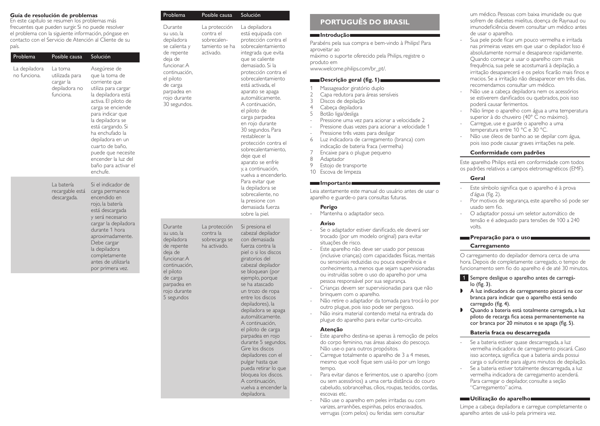### **Guía de resolución de problemas**

En este capítulo se resumen los problemas más frecuentes que pueden surgir. Si no puede resolver el problema con la siguiente información, póngase en contacto con el Servicio de Atención al Cliente de su país.

| Problema                      | Posible causa                                                         | Solución                                                                                                                                                                                                                                                                                                                                          |
|-------------------------------|-----------------------------------------------------------------------|---------------------------------------------------------------------------------------------------------------------------------------------------------------------------------------------------------------------------------------------------------------------------------------------------------------------------------------------------|
| La depiladora<br>no funciona. | l a toma<br>utilizada para<br>cargar la<br>depiladora no<br>funciona. | Asegúrese de<br>que la toma de<br>corriente que<br>utiliza para cargar<br>la depiladora está<br>activa. El piloto de<br>carga se enciende<br>para indicar que<br>la depiladora se<br>está cargando. Si<br>ha enchufado la<br>depiladora en un<br>cuarto de baño,<br>puede que necesite<br>encender la luz del<br>baño para activar el<br>enchufe. |
|                               | La batería<br>recargable está<br>descargada.                          | Si el indicador de<br>carga permanece<br>encendido en<br>rojo, la batería<br>está descargada<br>y será necesario<br>cargar la depiladora<br>durante 1 hora<br>aproximadamente.<br>Debe cargar<br>la depiladora<br>completamente<br>antes de utilizarla<br>por primera vez.                                                                        |
|                               |                                                                       |                                                                                                                                                                                                                                                                                                                                                   |

| Problema                                                                                                                                                                               | Posible causa                                                            | Solución                                                                                                                                                                                                                                                                                                                                                                                                                                                                                                                                                                                                                       |
|----------------------------------------------------------------------------------------------------------------------------------------------------------------------------------------|--------------------------------------------------------------------------|--------------------------------------------------------------------------------------------------------------------------------------------------------------------------------------------------------------------------------------------------------------------------------------------------------------------------------------------------------------------------------------------------------------------------------------------------------------------------------------------------------------------------------------------------------------------------------------------------------------------------------|
| Durante<br>su uso, la<br>depiladora<br>se calienta y<br>de repente<br>deja de<br>funcionar: A<br>continuación,<br>el piloto<br>de carga<br>parpadea en<br>rojo durante<br>30 segundos. | La protección<br>contra el<br>sobrecalen-<br>tamiento se ha<br>activado. | La depiladora<br>está equipada con<br>protección contra el<br>sobrecalentamiento<br>integrada que evita<br>que se caliente<br>demasiado. Si la<br>protección contra el<br>sobrecalentamiento<br>está activada, el<br>aparato se apaga<br>automáticamente.<br>A continuación,<br>el piloto de<br>carga parpadea<br>en rojo durante<br>30 segundos. Para<br>restablecer la<br>protección contra el<br>sobrecalentamiento,<br>deje que el<br>aparato se enfríe<br>y, a continuación,<br>vuelva a encenderlo.<br>Para evitar que<br>la depiladora se<br>sobrecaliente, no<br>la presione con<br>demasiada fuerza<br>sobre la piel. |
| Durante<br>su uso, la<br>depiladora<br>de repente<br>deja de<br>funcionar: A<br>continuación,<br>el piloto<br>de carga<br>parpadea en<br>rojo durante<br>5 segundos                    | La protección<br>contra la<br>sobrecarga se<br>ha activado.              | Si presiona el<br>cabezal depilador<br>con demasiada<br>fuerza contra la<br>piel o si los discos<br>giratorios del<br>cabezal depilador<br>se bloquean (por<br>ejemplo, porque<br>se ha atascado<br>un trozo de ropa<br>entre los discos<br>depiladores), la<br>depiladora se apaga<br>automáticamente.<br>A continuación,<br>el piloto de carga<br>parpadea en rojo<br>durante 5 segundos.<br>Gire los discos<br>depiladores con el<br>pulgar hasta que<br>pueda retirar lo que<br>bloquea los discos.<br>A continuación,<br>vuelva a encender la<br>depiladora.                                                              |

# **Português do Brasil**

#### **Introdução**

Parabéns pela sua compra e bem-vindo à Philips! Para aproveitar ao máximo o suporte oferecido pela Philips, registre o produto em

www.welcome.philips.com/br\_pt/.

### **Descrição geral (fig. 1)**

- 1 Massageador giratório duplo
- Capa redutora para áreas sensíveis
- 3 Discos de depilação
- 4 Cabeça depiladora<br>5 Rotão liga/desliga
- 5 Botão liga/desliga
- Pressione uma vez para acionar a velocidade 2
- Pressione duas vezes para acionar a velocidade 1 Pressione três vezes para desligar
- 6 Luz indicadora de carregamento (branca) com indicação de bateria fraca (vermelha)
- 7 Encaixe para o plugue pequeno<br>8 Adaptador
- 8 Adaptador<br>9 Estoio de ti
- Estojo de transporte
- 10 Escova de limpeza

### **Importante**

Leia atentamente este manual do usuário antes de usar o aparelho e guarde-o para consultas futuras.

### **Perigo**

Mantenha o adaptador seco.

### **Aviso**

- Se o adaptador estiver danificado, ele deverá ser trocado (por um modelo original) para evitar situações de risco.
- Este aparelho não deve ser usado por pessoas (inclusive crianças) com capacidades físicas, mentais ou sensoriais reduzidas ou pouca experiência e conhecimento, a menos que sejam supervisionadas ou instruídas sobre o uso do aparelho por uma pessoa responsável por sua segurança.
- Crianças devem ser supervisionadas para que não brinquem com o aparelho.
- Não retire o adaptador da tomada para trocá-lo por outro plugue, pois isso pode ser perigoso.
- Não insira material contendo metal na entrada do plugue do aparelho para evitar curto-circuito.

#### **Atenção**

- Este aparelho destina-se apenas à remoção de pelos do corpo feminino, nas áreas abaixo do pescoço. Não use-o para outros propósitos.
- Carregue totalmente o aparelho de 3 a 4 meses, mesmo que você fique sem usá-lo por um longo tempo.
- Para evitar danos e ferimentos, use o aparelho (com ou sem acessórios) a uma certa distância do couro cabeludo, sobrancelhas, cílios, roupas, tecidos, cordas, escovas etc.
- Não use o aparelho em peles irritadas ou com varizes, arranhões, espinhas, pelos encravados, verrugas (com pelos) ou feridas sem consultar

um médico. Pessoas com baixa imunidade ou que sofrem de diabetes mielitus, doença de Raynaud ou imunodeficiência devem consultar um médico antes de usar o aparelho.

- Sua pele pode ficar um pouco vermelha e irritada nas primeiras vezes em que usar o depilador. Isso é absolutamente normal e desaparece rapidamente. Quando começar a usar o aparelho com mais frequência, sua pele se acostumará à depilação, a irritação desaparecerá e os pelos ficarão mais finos e macios. Se a irritação não desaparecer em três dias, recomendamos consultar um médico.
- Não use a cabeça depiladora nem os acessórios se estiverem danificados ou quebrados, pois isso poderá causar ferimentos.
- Não limpe o aparelho com água a uma temperatura superior à do chuveiro (40° C no máximo).
- Carregue, use e guarde o aparelho a uma temperatura entre 10 °C e 30 °C.
- Não use óleos de banho ao se depilar com água, pois isso pode causar graves irritações na pele.

### **Conformidade com padrões**

Este aparelho Philips está em conformidade com todos os padrões relativos a campos eletromagnéticos (EMF).

### **Geral**

- Este símbolo significa que o aparelho é à prova d'água (fig. 2).
- Por motivos de segurança, este aparelho só pode ser usado sem fio.
- O adaptador possui um seletor automático de tensão e é adequado para tensões de 100 a 240 volts.

### **Preparação para o uso**

### **Carregamento**

O carregamento do depilador demora cerca de uma hora. Depois de completamente carregado, o tempo de funcionamento sem fio do aparelho é de até 30 minutos.

1 Sempre desligue o aparelho antes de carregálo (fig. 3).

- $\blacksquare$  A luz indicadora de carregamento piscará na cor branca para indicar que o aparelho está sendo carregado (fig. 4).
- $\Box$  Quando a bateria está totalmente carregada, a luz piloto de recarga fica acesa permanentemente na cor branca por 20 minutos e se apaga (fig. 5).

### **Bateria fraca ou descarregada**

- Se a bateria estiver quase descarregada, a luz vermelha indicadora de carregamento piscará. Caso isso aconteça, significa que a bateria ainda possui carga o suficiente para alguns minutos de depilação.
- Se a bateria estiver totalmente descarregada, a luz vermelha indicadora de carregamento acenderá. Para carregar o depilador, consulte a seção "Carregamento" acima.

### **Utilização do aparelho**

Limpe a cabeça depiladora e carregue completamente o aparelho antes de usá-lo pela primeira vez.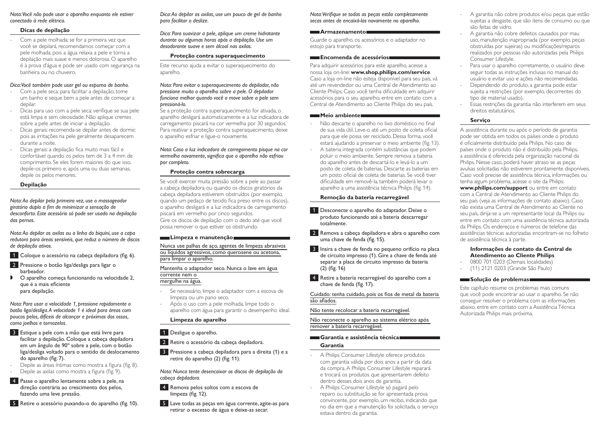*Nota: Você não pode usar o aparelho enquanto ele estiver conectado à rede elétrica.*

### **Dicas de depilação**

Com a pele molhada: se for a primeira vez que você se depilará, recomendamos começar com a pele molhada, pois a água relaxa a pele e torna a depilação mais suave e menos dolorosa. O aparelho é à prova d'água e pode ser usado com segurança na banheira ou no chuveiro.

#### *Dica: Você também pode usar gel ou espuma de banho.*

- Com a pele seca: para facilitar a depilação, tome um banho e seque bem a pele antes de começar a depilar.
- Dicas para uso com a pele seca: verifique se sua pele está limpa e sem oleosidade. Não aplique cremes sobre a pele antes de iniciar a depilação.
- Dicas gerais: recomenda-se depilar antes de dormir, pois as irritações na pele geralmente desaparecem durante a noite.
- Dicas gerais: a depilação fica muito mais fácil e confortável quando os pelos tem de 3 a 4 mm de comprimento. Se eles forem maiores do que isso, depile-os primeiro e, após uma ou duas semanas, depile os pelos menores.

### **Depilação**

*Nota: Ao depilar pela primeira vez, use o massageador giratório duplo a fim de minimizar a sensação de desconforto. Este acessório só pode ser usado na depilação das pernas.*

*Nota: Ao depilar as axilas ou a linha do biquíni, use a capa redutora para áreas sensíveis, que reduz o número de discos de depilação ativos.* 

1 Coloque o acessório na cabeça depiladora (fig. 6).

- 2 Pressione o botão liga/desliga para ligar o barbeador.
- , O aparelho começa funcionando na velocidade 2, que é a mais eficiente para depilação.

*Nota: Para usar a velocidade 1, pressione rapidamente o botão liga/desliga. A velocidade 1 é ideal para áreas com poucos pelos, difíceis de alcançar e próximas dos ossos, como joelhos e tornozelos.*

- 3 Estique a pele com a mão que está livre para facilitar a depilação. Coloque a cabeça depiladora em um ângulo de 90º sobre a pele, com o botão liga/desliga voltado para o sentido de deslocamento do aparelho (fig. 7).
- Depile as áreas íntimas como mostra a figura (fig. 8).
- Depile as axilas como mostra a figura (fig. 9).
- 4 Passe o aparelho lentamente sobre a pele, na direção contrária ao crescimento dos pelos, fazendo uma leve pressão.
- 5 Retire o acessório puxando-o do aparelho (fig. 10).

*Dica: Ao depilar as axilas, use um pouco de gel de banho para facilitar o deslize.* 

*Dica: Para suavizar a pele, aplique um creme hidratante durante ou algumas horas após a depilação. Use um desodorante suave e sem álcool nas axilas.* 

### **Proteção contra superaquecimento**

Este recurso ajuda a evitar o superaquecimento do aparelho.

#### *Nota: Para evitar o superaquecimento do depilador, não pressione muito o aparelho sobre a pele. O depilador funciona melhor quando você o move sobre a pele sem pressioná-lo.*

Se a proteção contra superaquecimento for ativada, o aparelho desligará automaticamente e a luz indicadora de carregamento piscará na cor vermelha por 30 segundos. Para reativar a proteção contra superaquecimento, deixe o aparelho esfriar e ligue-o novamente.

*Nota: Caso a luz indicadora de carregamento pisque na cor vermelha novamente, significa que o aparelho não esfriou por completo.* 

### **Proteção contra sobrecarga**

Se você exercer muita pressão sobre a pele ao passar a cabeça depiladora ou quando os discos giratórios da cabeça depiladora estiverem obstruídos (por exemplo, quando um pedaço de tecido fica preso entre os discos), o aparelho desligará e a luz indicadora de carregamento piscará em vermelho por cinco segundos. Gire os discos de depilação com o dedo até que você possa remover o que estiver os obstruindo.

#### **Limpeza e manutenção**

Nunca use palhas de aço, agentes de limpeza abrasivos ou líquidos agressivos, como querosene ou acetona, para limpar o aparelho.

Mantenha o adaptador seco. Nunca o lave em água corrente nem o mergulhe na água.

- Se necessário, limpe o adaptador com a escova de limpeza ou um pano seco.
- Após o uso com a pele molhada, limpe todo o aparelho com água para garantir o desempenho ideal.

### **Limpeza do aparelho**

- 1 Desligue o aparelho.
- 2 Retire o acessório da cabeça depiladora.
- 3 Pressione a cabeça depiladora para a direita (1) e a retire do aparelho (2) (fig. 11).

*Nota: Nunca tente desencaixar os discos de depilação da cabeça depiladora.*

- 4 Remova pelos soltos com a escova de limpeza (fig. 12).
- 5 Lave todas as peças em água corrente, agite-as para retirar o excesso de água e deixe-as secar.

*Nota: Verifique se todas as peças estão completamente secas antes de encaixá-las novamente no aparelho.* 

# **Armazenamento**

Guarde o aparelho, os acessórios e o adaptador no estojo para transporte.

#### **Encomenda de acessórios**

Para adquirir acessórios para este aparelho, acesse a nossa loja on-line: **www.shop.philips.com/service**. Caso a loja on-line não esteja disponível para seu país, vá até um revendedor ou uma Central de Atendimento ao Cliente Philips. Caso você tenha dificuldade em adquirir acessórios para o seu aparelho, entre em contato com a Central de Atendimento ao Cliente Philips do seu país.

#### **Meio ambiente**

- Não descarte o aparelho no lixo doméstico no final de sua vida útil. Leve-o até um posto de coleta oficial para que ele possa ser reciclado. Dessa forma, você estará ajudando a preservar o meio ambiente (fig. 13).
- A bateria integrada contém substâncias que podem poluir o meio ambiente. Sempre remova a bateria do aparelho antes de descartá-lo e levá-lo a um posto de coleta de baterias. Descarte as baterias em um posto oficial de coleta de baterias. Se você tiver dificuldade em removê-la, também poderá levar o aparelho a uma assistência técnica Philips (fig. 14).

### **Remoção da bateria recarregável**

1 Desconecte o aparelho do adaptador. Deixe o produto funcionando até a bateria descarregar totalmente.

2 Remova a cabeça depiladora e abra o aparelho com uma chave de fenda (fig. 15).

3 Insira a chave de fenda no pequeno orifício na placa de circuito impresso (1). Gire a chave de fenda até separar a placa de circuito impresso da bateria (2) (fig. 16)

4 Retire a bateria recarregável do aparelho com a chave de fenda (fig. 17).

Cuidado: tenha cuidado, pois os fios de metal da bateria são afiados.

Não tente recolocar a bateria recarregável.

Não reconecte o aparelho ao sistema elétrico após remover a bateria recarregável.

### **Garantia e assistência técnica**

#### **Garantia**

- A Philips Consumer Lifestyle oferece produtos com garantia válida por dois anos a partir da data da compra. A Philips Consumer Lifestyle reparará e trocará os produtos que apresentarem defeito dentro desses dois anos de garantia.
- A Philips Consumer Lifestyle só pagará pelo reparo ou substituição se for apresentada prova convincente, por exemplo, um recibo, indicando que no dia em que a manutenção foi solicitada, o serviço estava dentro da garantia.
- A garantia não cobre produtos e/ou peças que estão sujeitas a desgaste, que são itens de consumo ou que são feitas de vidro.
- A garantia não cobre defeitos causados por mau uso, manutenção inapropriada (por exemplo, peças obstruídas por sujeiras) ou modificações/reparos realizados por pessoas não autorizadas pela Philips Consumer Lifestyle.
- Para usar o aparelho corretamente, o usuário deve seguir todas as instruções inclusas no manual do usuário e evitar uso e ações não recomendadas.
- Dependendo do produto, a garantia pode estar sujeita a restrições (por exemplo, decorrentes do tipo de material usado).
- Essas restrições da garantia não interferem em seus direitos estatutários.

# **Serviço**

A assistência durante ou após o período de garantia pode ser obtida em todos os países onde o produto é oficialmente distribuído pela Philips. No caso de países onde o produto não é distribuído pela Philips, a assistência é oferecida pela organização nacional da Philips. Nesse caso, poderá haver atraso se as peças avulsas solicitadas não estiverem prontamente disponíveis. Caso você precise de assistência técnica, informações ou tenha algum problema, acesse o site da Philips:

**www.philips.com/support** ou entre em contato com a Central de Atendimento ao Cliente Philips do seu país (veja as informações de contato abaixo). Caso não exista uma Central de Atendimento ao Cliente no seu país, dirija-se a um representante local da Philips ou entre em contato com uma assistência técnica autorizada da Philips. Os endereços e números de telefone das assistências técnicas autorizadas encontram-se no folheto de assistência técnica à parte.

### **Informações de contato da Central de Atendimento ao Cliente Philips**

- 0800 701 0203 (Demais localidades)
- (11) 2121 0203 (Grande São Paulo)

### **Solução de problemas**

Este capítulo resume os problemas mais comuns que você pode encontrar ao usar o aparelho. Se não conseguir resolver o problema com as informações abaixo, entre em contato com a Assistência Técnica Autorizada Philips mais próxima.